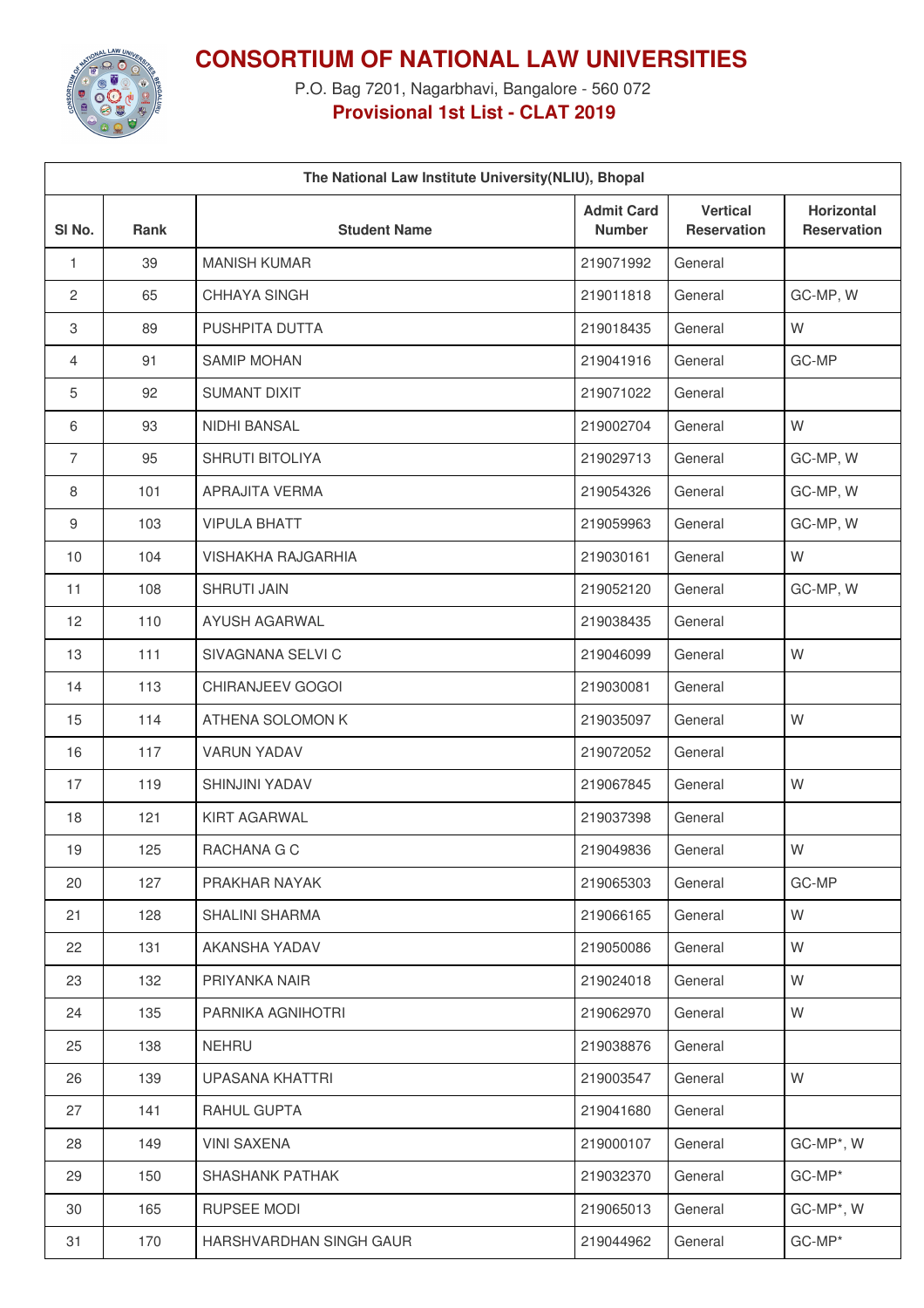

**CONSORTIUM OF NATIONAL LAW UNIVERSITIES**

P.O. Bag 7201, Nagarbhavi, Bangalore - 560 072 **Provisional 1st List - CLAT 2019**

| The National Law Institute University (NLIU), Bhopal |             |                           |                                    |                                       |                                  |  |  |  |  |
|------------------------------------------------------|-------------|---------------------------|------------------------------------|---------------------------------------|----------------------------------|--|--|--|--|
| SI No.                                               | <b>Rank</b> | <b>Student Name</b>       | <b>Admit Card</b><br><b>Number</b> | <b>Vertical</b><br><b>Reservation</b> | Horizontal<br><b>Reservation</b> |  |  |  |  |
| 1                                                    | 39          | <b>MANISH KUMAR</b>       | 219071992                          | General                               |                                  |  |  |  |  |
| 2                                                    | 65          | CHHAYA SINGH              | 219011818                          | General                               | GC-MP, W                         |  |  |  |  |
| 3                                                    | 89          | PUSHPITA DUTTA            | 219018435                          | General                               | W                                |  |  |  |  |
| 4                                                    | 91          | <b>SAMIP MOHAN</b>        | 219041916                          | General                               | GC-MP                            |  |  |  |  |
| 5                                                    | 92          | SUMANT DIXIT              | 219071022                          | General                               |                                  |  |  |  |  |
| 6                                                    | 93          | NIDHI BANSAL              | 219002704                          | General                               | W                                |  |  |  |  |
| $\overline{7}$                                       | 95          | SHRUTI BITOLIYA           | 219029713                          | General                               | GC-MP, W                         |  |  |  |  |
| 8                                                    | 101         | <b>APRAJITA VERMA</b>     | 219054326                          | General                               | GC-MP, W                         |  |  |  |  |
| 9                                                    | 103         | <b>VIPULA BHATT</b>       | 219059963                          | General                               | GC-MP, W                         |  |  |  |  |
| 10                                                   | 104         | <b>VISHAKHA RAJGARHIA</b> | 219030161                          | General                               | W                                |  |  |  |  |
| 11                                                   | 108         | <b>SHRUTI JAIN</b>        | 219052120                          | General                               | GC-MP, W                         |  |  |  |  |
| 12                                                   | 110         | <b>AYUSH AGARWAL</b>      | 219038435                          | General                               |                                  |  |  |  |  |
| 13                                                   | 111         | SIVAGNANA SELVI C         | 219046099                          | General                               | W                                |  |  |  |  |
| 14                                                   | 113         | CHIRANJEEV GOGOI          | 219030081                          | General                               |                                  |  |  |  |  |
| 15                                                   | 114         | ATHENA SOLOMON K          | 219035097                          | General                               | W                                |  |  |  |  |
| 16                                                   | 117         | <b>VARUN YADAV</b>        | 219072052                          | General                               |                                  |  |  |  |  |
| 17                                                   | 119         | <b>SHINJINI YADAV</b>     | 219067845                          | General                               | W                                |  |  |  |  |
| 18                                                   | 121         | <b>KIRT AGARWAL</b>       | 219037398                          | General                               |                                  |  |  |  |  |
| 19                                                   | 125         | RACHANA G C               | 219049836                          | General                               | W                                |  |  |  |  |
| 20                                                   | 127         | PRAKHAR NAYAK             | 219065303                          | General                               | GC-MP                            |  |  |  |  |
| 21                                                   | 128         | <b>SHALINI SHARMA</b>     | 219066165                          | General                               | W                                |  |  |  |  |
| 22                                                   | 131         | AKANSHA YADAV             | 219050086                          | General                               | W                                |  |  |  |  |
| 23                                                   | 132         | PRIYANKA NAIR             | 219024018                          | General                               | W                                |  |  |  |  |
| 24                                                   | 135         | PARNIKA AGNIHOTRI         | 219062970                          | General                               | W                                |  |  |  |  |
| 25                                                   | 138         | <b>NEHRU</b>              | 219038876                          | General                               |                                  |  |  |  |  |
| 26                                                   | 139         | UPASANA KHATTRI           | 219003547                          | General                               | W                                |  |  |  |  |
| 27                                                   | 141         | RAHUL GUPTA               | 219041680                          | General                               |                                  |  |  |  |  |
| 28                                                   | 149         | <b>VINI SAXENA</b>        | 219000107                          | General                               | GC-MP*, W                        |  |  |  |  |
| 29                                                   | 150         | SHASHANK PATHAK           | 219032370                          | General                               | GC-MP*                           |  |  |  |  |
| 30                                                   | 165         | RUPSEE MODI               | 219065013                          | General                               | GC-MP*, W                        |  |  |  |  |
| 31                                                   | 170         | HARSHVARDHAN SINGH GAUR   | 219044962                          | General                               | GC-MP*                           |  |  |  |  |